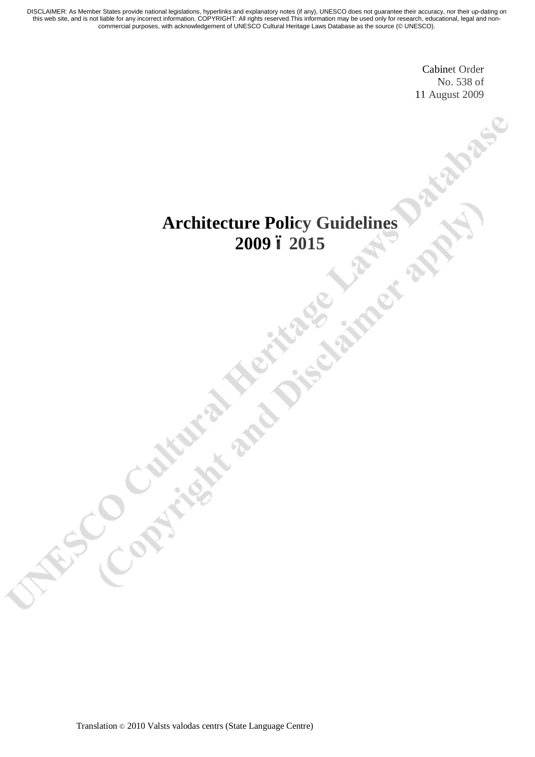> Cabinet Order No. 538 of 11 August 2009

# **Architecture Policy Guidelines 2009 – 2015**

Translation © 2010 Valsts valodas centrs (State Language Centre)

**Constitute de la Constitution**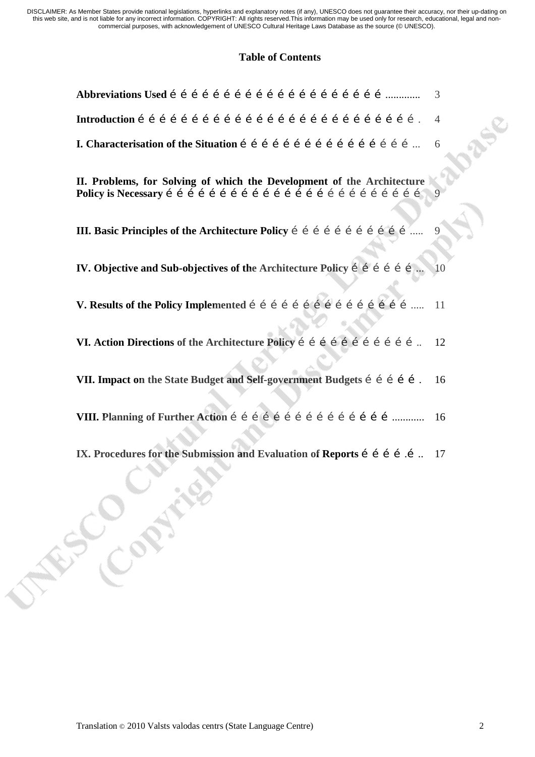#### **Table of Contents**

| 3                                                                                                 |  |
|---------------------------------------------------------------------------------------------------|--|
| $\overline{4}$                                                                                    |  |
| 6                                                                                                 |  |
| II. Problems, for Solving of which the Development of the Architecture                            |  |
| 9                                                                                                 |  |
| <b>IV.</b> Objective and Sub-objectives of the Architecture Policy i i i i i i i<br><sup>10</sup> |  |
|                                                                                                   |  |
| VI. Action Directions of the Architecture Policy í í í í í í í í í í í í  12                      |  |
| VII. Impact on the State Budget and Self-government Budgets i i i i i .<br>16                     |  |
| 16                                                                                                |  |
| IX. Procedures for the Submission and Evaluation of Reports i i i i i. 17                         |  |
| <b>SEP CONTROL</b>                                                                                |  |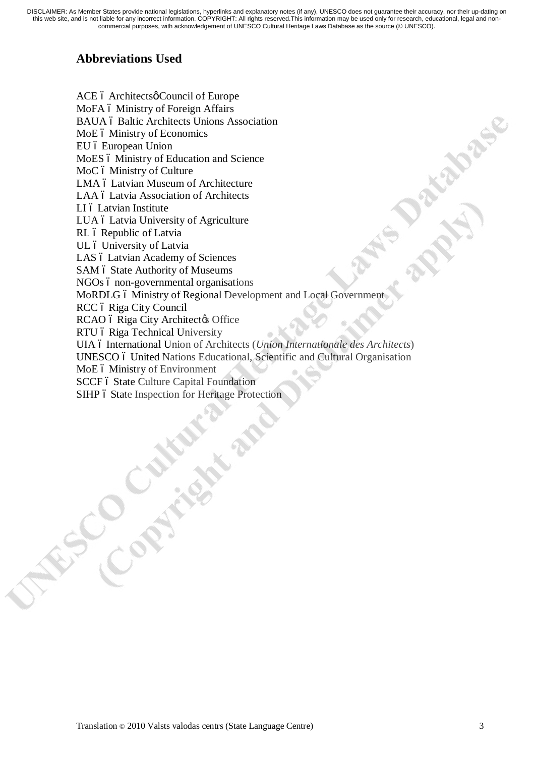## **Abbreviations Used**

**FOCONTINE** 

ACE ó Architectsø Council of Europe MoFA 6 Ministry of Foreign Affairs BAUA ó Baltic Architects Unions Association MoE 6 Ministry of Economics EU ó European Union MoES 6 Ministry of Education and Science MoC ó Ministry of Culture LMA ó Latvian Museum of Architecture LAA 6 Latvia Association of Architects LI ó Latvian Institute LUA ó Latvia University of Agriculture RL ó Republic of Latvia UL ó University of Latvia LAS ó Latvian Academy of Sciences SAM 6 State Authority of Museums NGOs ó non-governmental organisations MoRDLG 6 Ministry of Regional Development and Local Government RCC ó Riga City Council RCAO ó Riga City Architect & Office RTU ó Riga Technical University UIA 6 International Union of Architects (*Union Internationale des Architects*) UNESCO 6 United Nations Educational, Scientific and Cultural Organisation MoE 6 Ministry of Environment SCCF ó State Culture Capital Foundation SIHP 6 State Inspection for Heritage Protection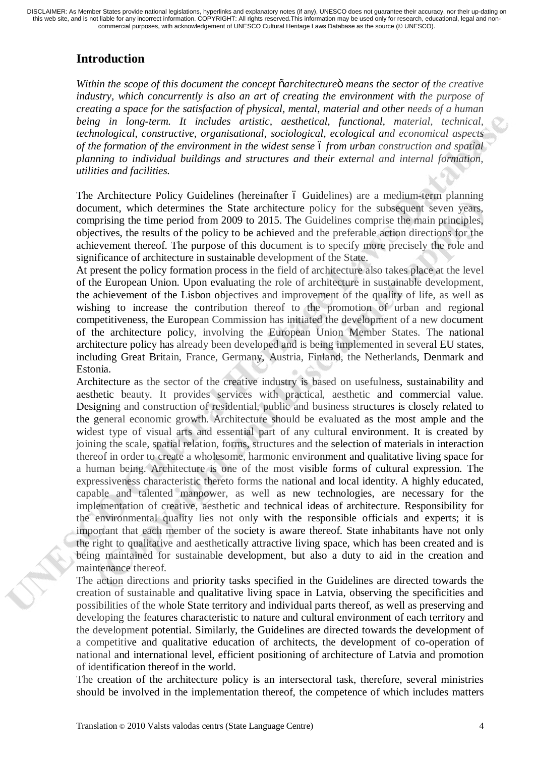# **Introduction**

*Within the scope of this document the concept "architecture" means the sector of the creative industry, which concurrently is also an art of creating the environment with the purpose of creating a space for the satisfaction of physical, mental, material and other needs of a human being in long-term. It includes artistic, aesthetical, functional, material, technical, technological, constructive, organisational, sociological, ecological and economical aspects of the formation of the environment in the widest sense – from urban construction and spatial planning to individual buildings and structures and their external and internal formation, utilities and facilities.* 

The Architecture Policy Guidelines (hereinafter 6 Guidelines) are a medium-term planning document, which determines the State architecture policy for the subsequent seven years, comprising the time period from 2009 to 2015. The Guidelines comprise the main principles, objectives, the results of the policy to be achieved and the preferable action directions for the achievement thereof. The purpose of this document is to specify more precisely the role and significance of architecture in sustainable development of the State.

At present the policy formation process in the field of architecture also takes place at the level of the European Union. Upon evaluating the role of architecture in sustainable development, the achievement of the Lisbon objectives and improvement of the quality of life, as well as wishing to increase the contribution thereof to the promotion of urban and regional competitiveness, the European Commission has initiated the development of a new document of the architecture policy, involving the European Union Member States. The national architecture policy has already been developed and is being implemented in several EU states, including Great Britain, France, Germany, Austria, Finland, the Netherlands, Denmark and Estonia.

Architecture as the sector of the creative industry is based on usefulness, sustainability and aesthetic beauty. It provides services with practical, aesthetic and commercial value. Designing and construction of residential, public and business structures is closely related to the general economic growth. Architecture should be evaluated as the most ample and the widest type of visual arts and essential part of any cultural environment. It is created by joining the scale, spatial relation, forms, structures and the selection of materials in interaction thereof in order to create a wholesome, harmonic environment and qualitative living space for a human being. Architecture is one of the most visible forms of cultural expression. The expressiveness characteristic thereto forms the national and local identity. A highly educated, capable and talented manpower, as well as new technologies, are necessary for the implementation of creative, aesthetic and technical ideas of architecture. Responsibility for the environmental quality lies not only with the responsible officials and experts; it is important that each member of the society is aware thereof. State inhabitants have not only the right to qualitative and aesthetically attractive living space, which has been created and is being maintained for sustainable development, but also a duty to aid in the creation and maintenance thereof.

The action directions and priority tasks specified in the Guidelines are directed towards the creation of sustainable and qualitative living space in Latvia, observing the specificities and possibilities of the whole State territory and individual parts thereof, as well as preserving and developing the features characteristic to nature and cultural environment of each territory and the development potential. Similarly, the Guidelines are directed towards the development of a competitive and qualitative education of architects, the development of co-operation of national and international level, efficient positioning of architecture of Latvia and promotion of identification thereof in the world.

The creation of the architecture policy is an intersectoral task, therefore, several ministries should be involved in the implementation thereof, the competence of which includes matters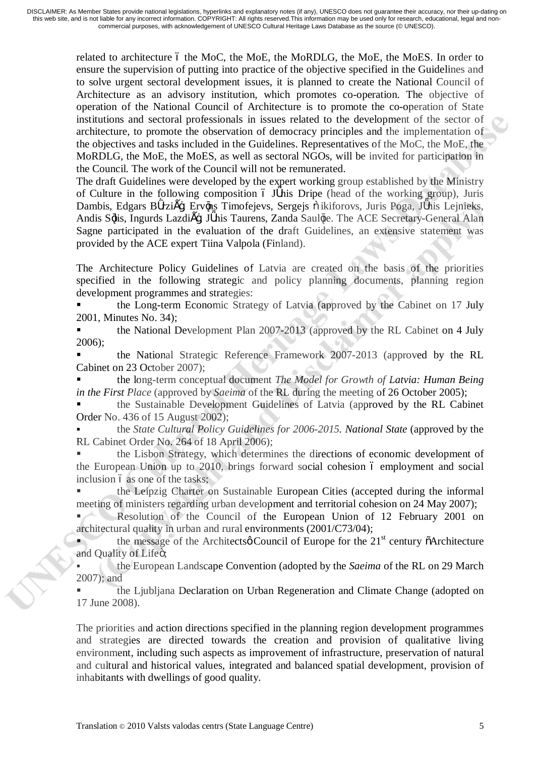related to architecture 6 the MoC, the MoE, the MoRDLG, the MoE, the MoES. In order to ensure the supervision of putting into practice of the objective specified in the Guidelines and to solve urgent sectoral development issues, it is planned to create the National Council of Architecture as an advisory institution, which promotes co-operation. The objective of operation of the National Council of Architecture is to promote the co-operation of State institutions and sectoral professionals in issues related to the development of the sector of architecture, to promote the observation of democracy principles and the implementation of the objectives and tasks included in the Guidelines. Representatives of the MoC, the MoE, the MoRDLG, the MoE, the MoES, as well as sectoral NGOs, will be invited for participation in the Council. The work of the Council will not be remunerated.

The draft Guidelines were developed by the expert working group established by the Ministry of Culture in the following composition  $\acute{o}$  J nis Dripe (head of the working group), Juris Dambis, Edgars B rzi –, Erv ns Timofejevs, Sergejs ikiforovs, Juris Poga, J nis Lejnieks, Andis S lis, Ingurds Lazdi –, J nis Taurens, Zanda Saul te. The ACE Secretary-General Alan Sagne participated in the evaluation of the draft Guidelines, an extensive statement was provided by the ACE expert Tiina Valpola (Finland).

The Architecture Policy Guidelines of Latvia are created on the basis of the priorities specified in the following strategic and policy planning documents, planning region development programmes and strategies:

ß the Long-term Economic Strategy of Latvia (approved by the Cabinet on 17 July 2001, Minutes No. 34);

ß the National Development Plan 2007-2013 (approved by the RL Cabinet on 4 July 2006);

ß the National Strategic Reference Framework 2007-2013 (approved by the RL Cabinet on 23 October 2007);

ß the long-term conceptual document *The Model for Growth of Latvia: Human Being in the First Place* (approved by *Saeima* of the RL during the meeting of 26 October 2005);

ß the Sustainable Development Guidelines of Latvia (approved by the RL Cabinet Order No. 436 of 15 August 2002);

ß the *State Cultural Policy Guidelines for 2006-2015. National State* (approved by the RL Cabinet Order No. 264 of 18 April 2006);

ß the Lisbon Strategy, which determines the directions of economic development of the European Union up to 2010, brings forward social cohesion 6 employment and social inclusion 6 as one of the tasks;

ß the Leipzig Charter on Sustainable European Cities (accepted during the informal meeting of ministers regarding urban development and territorial cohesion on 24 May 2007);

ß Resolution of the Council of the European Union of 12 February 2001 on architectural quality in urban and rural environments (2001/C73/04);

the message of the Architects  $\phi$  Council of Europe for the 21<sup>st</sup> century  $\ddot{\phi}$ Architecture and Quality of Lifeö;

ß the European Landscape Convention (adopted by the *Saeima* of the RL on 29 March 2007); and

ß the Ljubljana Declaration on Urban Regeneration and Climate Change (adopted on 17 June 2008).

The priorities and action directions specified in the planning region development programmes and strategies are directed towards the creation and provision of qualitative living environment, including such aspects as improvement of infrastructure, preservation of natural and cultural and historical values, integrated and balanced spatial development, provision of inhabitants with dwellings of good quality.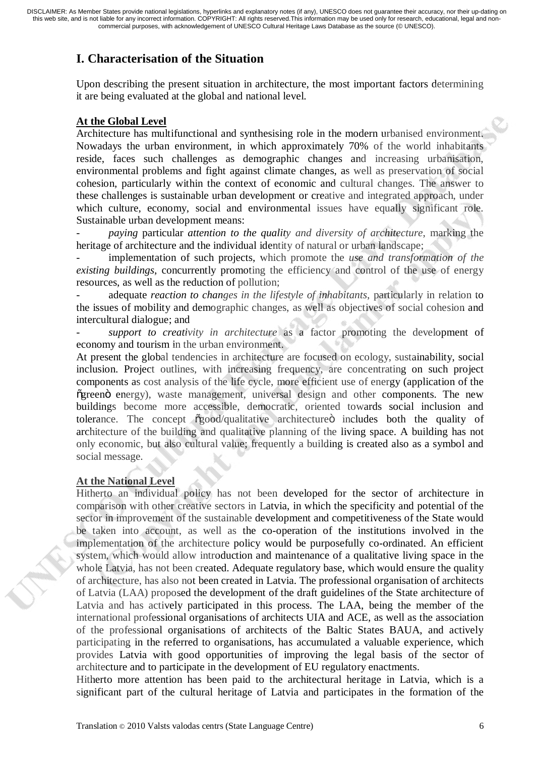### **I. Characterisation of the Situation**

Upon describing the present situation in architecture, the most important factors determining it are being evaluated at the global and national level.

#### **At the Global Level**

Architecture has multifunctional and synthesising role in the modern urbanised environment. Nowadays the urban environment, in which approximately 70% of the world inhabitants reside, faces such challenges as demographic changes and increasing urbanisation, environmental problems and fight against climate changes, as well as preservation of social cohesion, particularly within the context of economic and cultural changes. The answer to these challenges is sustainable urban development or creative and integrated approach, under which culture, economy, social and environmental issues have equally significant role. Sustainable urban development means:

- *paying* particular *attention to the quality and diversity of architecture*, marking the heritage of architecture and the individual identity of natural or urban landscape;

implementation of such projects, which promote the *use and transformation of the existing buildings*, concurrently promoting the efficiency and control of the use of energy resources, as well as the reduction of pollution;

adequate *reaction to changes in the lifestyle of inhabitants*, particularly in relation to the issues of mobility and demographic changes, as well as objectives of social cohesion and intercultural dialogue; and

support to creativity in architecture as a factor promoting the development of economy and tourism in the urban environment.

At present the global tendencies in architecture are focused on ecology, sustainability, social inclusion. Project outlines, with increasing frequency, are concentrating on such project components as cost analysis of the life cycle, more efficient use of energy (application of the  $\tilde{g}$  green  $\ddot{o}$  energy), waste management, universal design and other components. The new buildings become more accessible, democratic, oriented towards social inclusion and tolerance. The concept  $\tilde{\text{ogood}}$  qualitative architecture o includes both the quality of architecture of the building and qualitative planning of the living space. A building has not only economic, but also cultural value; frequently a building is created also as a symbol and social message.

#### **At the National Level**

Hitherto an individual policy has not been developed for the sector of architecture in comparison with other creative sectors in Latvia, in which the specificity and potential of the sector in improvement of the sustainable development and competitiveness of the State would be taken into account, as well as the co-operation of the institutions involved in the implementation of the architecture policy would be purposefully co-ordinated. An efficient system, which would allow introduction and maintenance of a qualitative living space in the whole Latvia, has not been created. Adequate regulatory base, which would ensure the quality of architecture, has also not been created in Latvia. The professional organisation of architects of Latvia (LAA) proposed the development of the draft guidelines of the State architecture of Latvia and has actively participated in this process. The LAA, being the member of the international professional organisations of architects UIA and ACE, as well as the association of the professional organisations of architects of the Baltic States BAUA, and actively participating in the referred to organisations, has accumulated a valuable experience, which provides Latvia with good opportunities of improving the legal basis of the sector of architecture and to participate in the development of EU regulatory enactments.

Hitherto more attention has been paid to the architectural heritage in Latvia, which is a significant part of the cultural heritage of Latvia and participates in the formation of the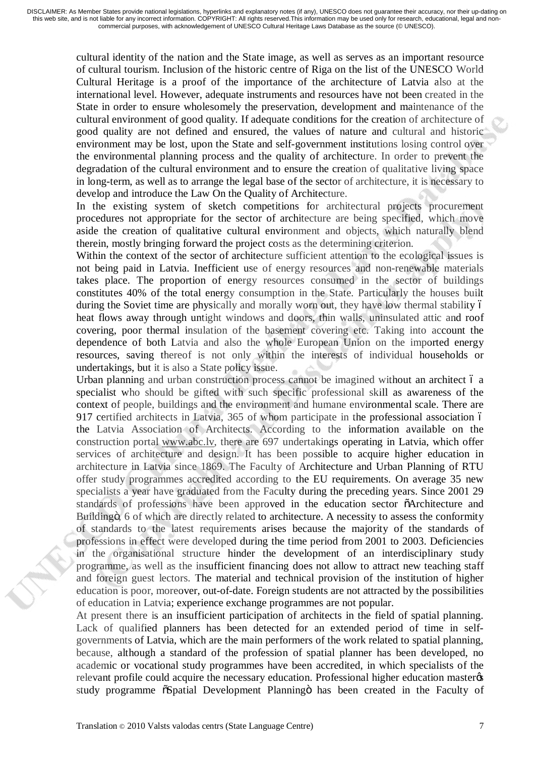cultural identity of the nation and the State image, as well as serves as an important resource of cultural tourism. Inclusion of the historic centre of Riga on the list of the UNESCO World Cultural Heritage is a proof of the importance of the architecture of Latvia also at the international level. However, adequate instruments and resources have not been created in the State in order to ensure wholesomely the preservation, development and maintenance of the cultural environment of good quality. If adequate conditions for the creation of architecture of good quality are not defined and ensured, the values of nature and cultural and historic environment may be lost, upon the State and self-government institutions losing control over the environmental planning process and the quality of architecture. In order to prevent the degradation of the cultural environment and to ensure the creation of qualitative living space in long-term, as well as to arrange the legal base of the sector of architecture, it is necessary to develop and introduce the Law On the Quality of Architecture.

In the existing system of sketch competitions for architectural projects procurement procedures not appropriate for the sector of architecture are being specified, which move aside the creation of qualitative cultural environment and objects, which naturally blend therein, mostly bringing forward the project costs as the determining criterion.

Within the context of the sector of architecture sufficient attention to the ecological issues is not being paid in Latvia. Inefficient use of energy resources and non-renewable materials takes place. The proportion of energy resources consumed in the sector of buildings constitutes 40% of the total energy consumption in the State. Particularly the houses built during the Soviet time are physically and morally worn out, they have low thermal stability 6 heat flows away through untight windows and doors, thin walls, uninsulated attic and roof covering, poor thermal insulation of the basement covering etc. Taking into account the dependence of both Latvia and also the whole European Union on the imported energy resources, saving thereof is not only within the interests of individual households or undertakings, but it is also a State policy issue.

Urban planning and urban construction process cannot be imagined without an architect 6 a specialist who should be gifted with such specific professional skill as awareness of the context of people, buildings and the environment and humane environmental scale. There are 917 certified architects in Latvia, 365 of whom participate in the professional association 6 the Latvia Association of Architects. According to the information available on the construction portal [www.abc.lv,](http://www.abc.lv/) there are 697 undertakings operating in Latvia, which offer services of architecture and design. It has been possible to acquire higher education in architecture in Latvia since 1869. The Faculty of Architecture and Urban Planning of RTU offer study programmes accredited according to the EU requirements. On average 35 new specialists a year have graduated from the Faculty during the preceding years. Since 2001 29 standards of professions have been approved in the education sector  $\tilde{o}$ Architecture and Building<sub>o</sub>, 6 of which are directly related to architecture. A necessity to assess the conformity of standards to the latest requirements arises because the majority of the standards of professions in effect were developed during the time period from 2001 to 2003. Deficiencies in the organisational structure hinder the development of an interdisciplinary study programme, as well as the insufficient financing does not allow to attract new teaching staff and foreign guest lectors. The material and technical provision of the institution of higher education is poor, moreover, out-of-date. Foreign students are not attracted by the possibilities of education in Latvia; experience exchange programmes are not popular.

At present there is an insufficient participation of architects in the field of spatial planning. Lack of qualified planners has been detected for an extended period of time in selfgovernments of Latvia, which are the main performers of the work related to spatial planning, because, although a standard of the profession of spatial planner has been developed, no academic or vocational study programmes have been accredited, in which specialists of the relevant profile could acquire the necessary education. Professional higher education master study programme  $\tilde{\text{o}}$ Spatial Development Planningö has been created in the Faculty of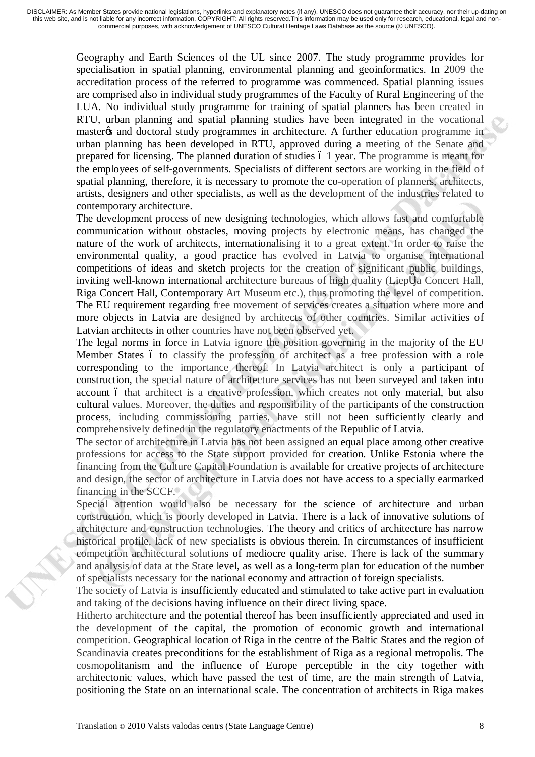Geography and Earth Sciences of the UL since 2007. The study programme provides for specialisation in spatial planning, environmental planning and geoinformatics. In 2009 the accreditation process of the referred to programme was commenced. Spatial planning issues are comprised also in individual study programmes of the Faculty of Rural Engineering of the LUA. No individual study programme for training of spatial planners has been created in RTU, urban planning and spatial planning studies have been integrated in the vocational master os and doctoral study programmes in architecture. A further education programme in urban planning has been developed in RTU, approved during a meeting of the Senate and prepared for licensing. The planned duration of studies 6.1 year. The programme is meant for the employees of self-governments. Specialists of different sectors are working in the field of spatial planning, therefore, it is necessary to promote the co-operation of planners, architects, artists, designers and other specialists, as well as the development of the industries related to contemporary architecture.

The development process of new designing technologies, which allows fast and comfortable communication without obstacles, moving projects by electronic means, has changed the nature of the work of architects, internationalising it to a great extent. In order to raise the environmental quality, a good practice has evolved in Latvia to organise international competitions of ideas and sketch projects for the creation of significant public buildings, inviting well-known international architecture bureaus of high quality (Liep ja Concert Hall, Riga Concert Hall, Contemporary Art Museum etc.), thus promoting the level of competition. The EU requirement regarding free movement of services creates a situation where more and more objects in Latvia are designed by architects of other countries. Similar activities of Latvian architects in other countries have not been observed yet.

The legal norms in force in Latvia ignore the position governing in the majority of the EU Member States 6 to classify the profession of architect as a free profession with a role corresponding to the importance thereof. In Latvia architect is only a participant of construction, the special nature of architecture services has not been surveyed and taken into account 6 that architect is a creative profession, which creates not only material, but also cultural values. Moreover, the duties and responsibility of the participants of the construction process, including commissioning parties, have still not been sufficiently clearly and comprehensively defined in the regulatory enactments of the Republic of Latvia.

The sector of architecture in Latvia has not been assigned an equal place among other creative professions for access to the State support provided for creation. Unlike Estonia where the financing from the Culture Capital Foundation is available for creative projects of architecture and design, the sector of architecture in Latvia does not have access to a specially earmarked financing in the SCCF.

Special attention would also be necessary for the science of architecture and urban construction, which is poorly developed in Latvia. There is a lack of innovative solutions of architecture and construction technologies. The theory and critics of architecture has narrow historical profile, lack of new specialists is obvious therein. In circumstances of insufficient competition architectural solutions of mediocre quality arise. There is lack of the summary and analysis of data at the State level, as well as a long-term plan for education of the number of specialists necessary for the national economy and attraction of foreign specialists.

The society of Latvia is insufficiently educated and stimulated to take active part in evaluation and taking of the decisions having influence on their direct living space.

Hitherto architecture and the potential thereof has been insufficiently appreciated and used in the development of the capital, the promotion of economic growth and international competition. Geographical location of Riga in the centre of the Baltic States and the region of Scandinavia creates preconditions for the establishment of Riga as a regional metropolis. The cosmopolitanism and the influence of Europe perceptible in the city together with architectonic values, which have passed the test of time, are the main strength of Latvia, positioning the State on an international scale. The concentration of architects in Riga makes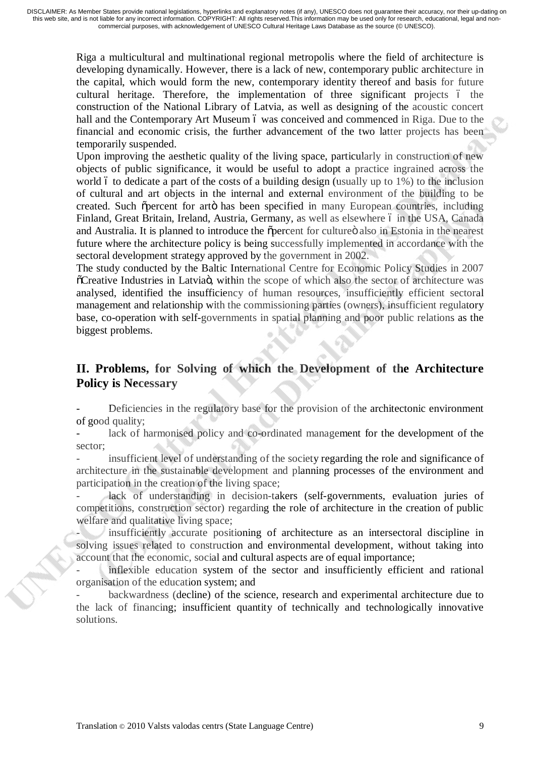> Riga a multicultural and multinational regional metropolis where the field of architecture is developing dynamically. However, there is a lack of new, contemporary public architecture in the capital, which would form the new, contemporary identity thereof and basis for future cultural heritage. Therefore, the implementation of three significant projects 6 the construction of the National Library of Latvia, as well as designing of the acoustic concert hall and the Contemporary Art Museum 6 was conceived and commenced in Riga. Due to the financial and economic crisis, the further advancement of the two latter projects has been temporarily suspended.

> Upon improving the aesthetic quality of the living space, particularly in construction of new objects of public significance, it would be useful to adopt a practice ingrained across the world 6 to dedicate a part of the costs of a building design (usually up to  $1\%$ ) to the inclusion of cultural and art objects in the internal and external environment of the building to be created. Such opercent for arto has been specified in many European countries, including Finland, Great Britain, Ireland, Austria, Germany, as well as elsewhere 6 in the USA, Canada and Australia. It is planned to introduce the opercent for culture also in Estonia in the nearest future where the architecture policy is being successfully implemented in accordance with the sectoral development strategy approved by the government in 2002.

> The study conducted by the Baltic International Centre for Economic Policy Studies in 2007 "Creative Industries in Latvia", within the scope of which also the sector of architecture was analysed, identified the insufficiency of human resources, insufficiently efficient sectoral management and relationship with the commissioning parties (owners), insufficient regulatory base, co-operation with self-governments in spatial planning and poor public relations as the biggest problems.

#### **II. Problems, for Solving of which the Development of the Architecture Policy is Necessary**

Deficiencies in the regulatory base for the provision of the architectonic environment of good quality;

lack of harmonised policy and co-ordinated management for the development of the sector;

insufficient level of understanding of the society regarding the role and significance of architecture in the sustainable development and planning processes of the environment and participation in the creation of the living space;

lack of understanding in decision-takers (self-governments, evaluation juries of competitions, construction sector) regarding the role of architecture in the creation of public welfare and qualitative living space;

insufficiently accurate positioning of architecture as an intersectoral discipline in solving issues related to construction and environmental development, without taking into account that the economic, social and cultural aspects are of equal importance;

inflexible education system of the sector and insufficiently efficient and rational organisation of the education system; and

backwardness (decline) of the science, research and experimental architecture due to the lack of financing; insufficient quantity of technically and technologically innovative solutions.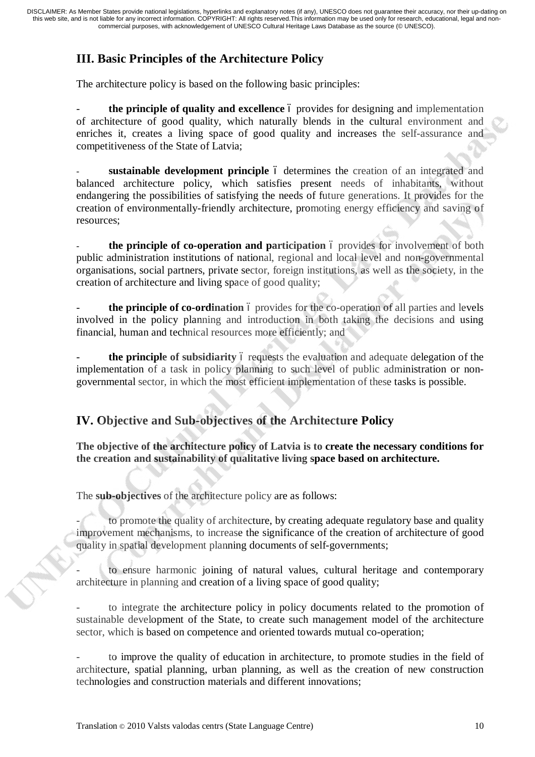# **III. Basic Principles of the Architecture Policy**

The architecture policy is based on the following basic principles:

the principle of quality and excellence 6 provides for designing and implementation of architecture of good quality, which naturally blends in the cultural environment and enriches it, creates a living space of good quality and increases the self-assurance and competitiveness of the State of Latvia;

sustainable development principle 6 determines the creation of an integrated and balanced architecture policy, which satisfies present needs of inhabitants, without endangering the possibilities of satisfying the needs of future generations. It provides for the creation of environmentally-friendly architecture, promoting energy efficiency and saving of resources;

the principle of co-operation and participation 6 provides for involvement of both public administration institutions of national, regional and local level and non-governmental organisations, social partners, private sector, foreign institutions, as well as the society, in the creation of architecture and living space of good quality;

the **principle of co-ordination** 6 provides for the co-operation of all parties and levels involved in the policy planning and introduction in both taking the decisions and using financial, human and technical resources more efficiently; and

**the principle of subsidiarity** 6 requests the evaluation and adequate delegation of the implementation of a task in policy planning to such level of public administration or nongovernmental sector, in which the most efficient implementation of these tasks is possible.

## **IV. Objective and Sub-objectives of the Architecture Policy**

**The objective of the architecture policy of Latvia is to create the necessary conditions for the creation and sustainability of qualitative living space based on architecture.** 

The **sub-objectives** of the architecture policy are as follows:

to promote the quality of architecture, by creating adequate regulatory base and quality improvement mechanisms, to increase the significance of the creation of architecture of good quality in spatial development planning documents of self-governments;

to ensure harmonic joining of natural values, cultural heritage and contemporary architecture in planning and creation of a living space of good quality;

to integrate the architecture policy in policy documents related to the promotion of sustainable development of the State, to create such management model of the architecture sector, which is based on competence and oriented towards mutual co-operation;

to improve the quality of education in architecture, to promote studies in the field of architecture, spatial planning, urban planning, as well as the creation of new construction technologies and construction materials and different innovations;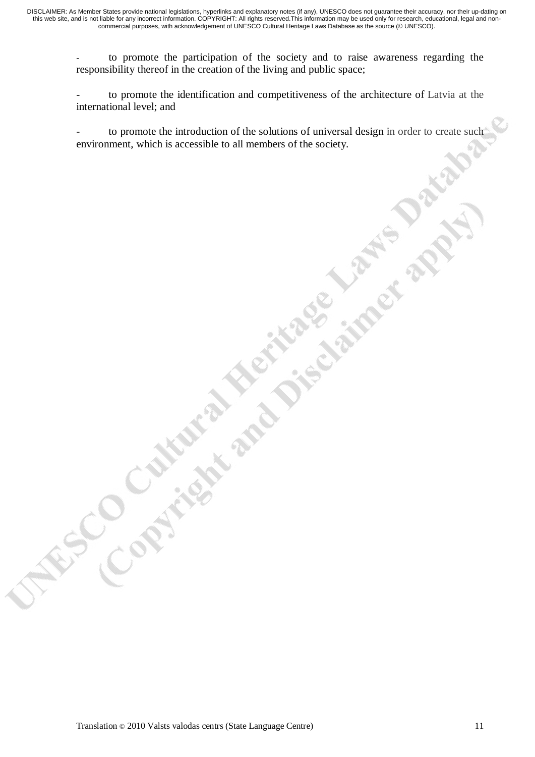- to promote the participation of the society and to raise awareness regarding the responsibility thereof in the creation of the living and public space;

to promote the identification and competitiveness of the architecture of Latvia at the international level; and

to promote the introduction of the solutions of universal design in order to create such environment, which is accessible to all members of the society.

W.S.C.O.Children and Dischange Laws Dat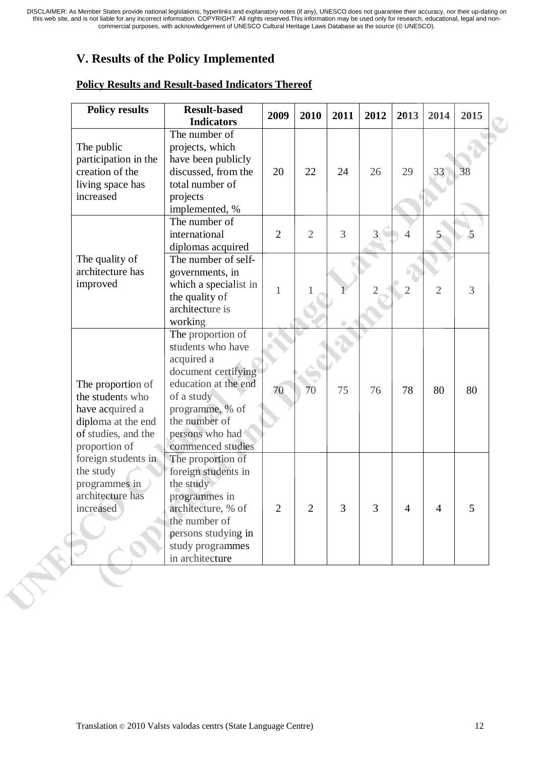# **V. Results of the Policy Implemented**

| <b>Policy results</b>                                                                                                  | <b>Result-based</b><br><b>Indicators</b>                                                                                                                                                      | 2009           | 2010           | 2011           | 2012           | 2013           | 2014           | 2015 |
|------------------------------------------------------------------------------------------------------------------------|-----------------------------------------------------------------------------------------------------------------------------------------------------------------------------------------------|----------------|----------------|----------------|----------------|----------------|----------------|------|
| The public<br>participation in the<br>creation of the<br>living space has<br>increased                                 | The number of<br>projects, which<br>have been publicly<br>discussed, from the<br>total number of<br>projects<br>implemented, %                                                                | 20             | 22             | 24             | 26             | 29             | 33             | 38   |
|                                                                                                                        | The number of<br>international<br>diplomas acquired                                                                                                                                           | $\overline{2}$ | $\overline{2}$ | $\overline{3}$ | $\overline{3}$ | $\overline{4}$ | 5              | 5    |
| The quality of<br>architecture has<br>improved                                                                         | The number of self-<br>governments, in<br>which a specialist in<br>the quality of<br>architecture is<br>working                                                                               | 1              |                |                | 2              |                | $\overline{2}$ | 3    |
| The proportion of<br>the students who<br>have acquired a<br>diploma at the end<br>of studies, and the<br>proportion of | The proportion of<br>students who have<br>acquired a<br>document certifying<br>education at the end<br>of a study<br>programme, % of<br>the number of<br>persons who had<br>commenced studies | 70             | 70             | 75             | 76             | 78             | 80             | 80   |
| foreign students in<br>the study<br>programmes in<br>architecture has<br>increased                                     | The proportion of<br>foreign students in<br>the study<br>programmes in<br>architecture, % of<br>the number of<br>persons studying in<br>study programmes<br>in architecture                   | $\overline{2}$ | $\overline{2}$ | 3              | $\overline{3}$ | 4              | 4              | 5    |

#### **Policy Results and Result-based Indicators Thereof**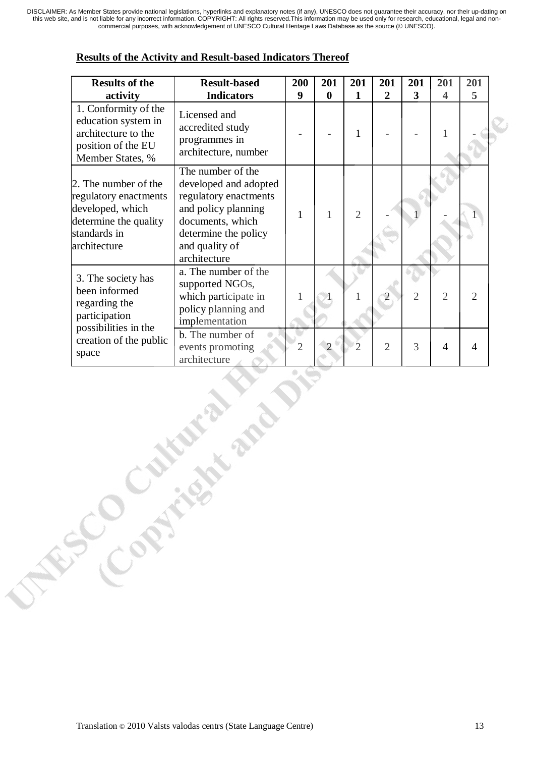| <b>Results of the</b><br>activity                                                                                          | <b>Result-based</b><br><b>Indicators</b>                                                                                                                                 | 200<br>9       | 201<br>$\bf{0}$ | 201<br>1       | 201<br>$\overline{2}$ | 201<br>3       | 201<br>4       | 201<br>5       |  |
|----------------------------------------------------------------------------------------------------------------------------|--------------------------------------------------------------------------------------------------------------------------------------------------------------------------|----------------|-----------------|----------------|-----------------------|----------------|----------------|----------------|--|
| 1. Conformity of the<br>education system in<br>architecture to the<br>position of the EU<br>Member States, %               | Licensed and<br>accredited study<br>programmes in<br>architecture, number                                                                                                |                |                 | $\mathbf{1}$   |                       |                | 1              |                |  |
| 2. The number of the<br>regulatory enactments<br>developed, which<br>determine the quality<br>standards in<br>architecture | The number of the<br>developed and adopted<br>regulatory enactments<br>and policy planning<br>documents, which<br>determine the policy<br>and quality of<br>architecture | 1              | 1               | $\overline{2}$ |                       |                |                |                |  |
| 3. The society has<br>been informed<br>regarding the<br>participation                                                      | a. The number of the<br>supported NGOs,<br>which participate in<br>policy planning and<br>implementation                                                                 |                |                 |                |                       | $\overline{2}$ | $\overline{2}$ | $\overline{2}$ |  |
| possibilities in the<br>creation of the public<br>space                                                                    | b. The number of<br>events promoting<br>architecture                                                                                                                     | $\overline{2}$ |                 |                | $\overline{2}$        | 3              | 4              | $\overline{A}$ |  |

#### **Results of the Activity and Result-based Indicators Thereof**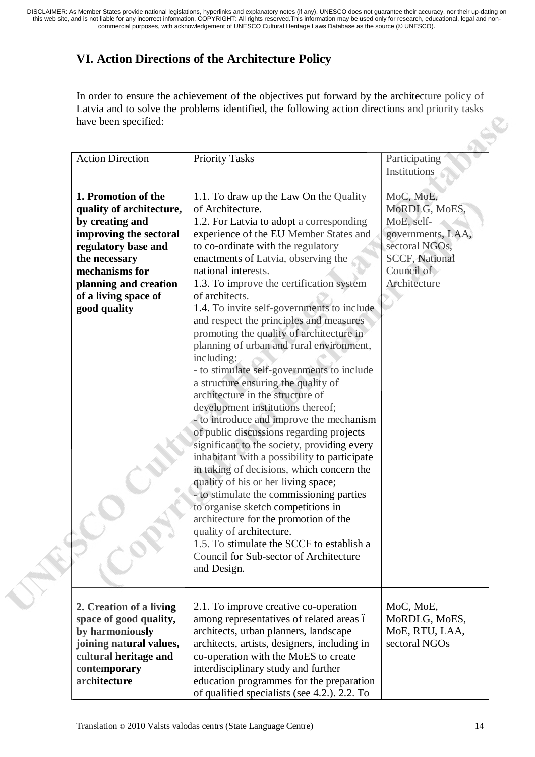# **VI. Action Directions of the Architecture Policy**

In order to ensure the achievement of the objectives put forward by the architecture policy of Latvia and to solve the problems identified, the following action directions and priority tasks have been specified:

| <b>Action Direction</b>                                                                                                                                                                                                 | <b>Priority Tasks</b>                                                                                                                                                                                                                                                                                                                                                                                                                                                                                                                                                                                                                                                                                                                                                                                                                                                                                                                                                                                                                                                                                                                                                                                                   | Participating                                                                                                                          |
|-------------------------------------------------------------------------------------------------------------------------------------------------------------------------------------------------------------------------|-------------------------------------------------------------------------------------------------------------------------------------------------------------------------------------------------------------------------------------------------------------------------------------------------------------------------------------------------------------------------------------------------------------------------------------------------------------------------------------------------------------------------------------------------------------------------------------------------------------------------------------------------------------------------------------------------------------------------------------------------------------------------------------------------------------------------------------------------------------------------------------------------------------------------------------------------------------------------------------------------------------------------------------------------------------------------------------------------------------------------------------------------------------------------------------------------------------------------|----------------------------------------------------------------------------------------------------------------------------------------|
|                                                                                                                                                                                                                         |                                                                                                                                                                                                                                                                                                                                                                                                                                                                                                                                                                                                                                                                                                                                                                                                                                                                                                                                                                                                                                                                                                                                                                                                                         | Institutions                                                                                                                           |
| 1. Promotion of the<br>quality of architecture,<br>by creating and<br>improving the sectoral<br>regulatory base and<br>the necessary<br>mechanisms for<br>planning and creation<br>of a living space of<br>good quality | 1.1. To draw up the Law On the Quality<br>of Architecture.<br>1.2. For Latvia to adopt a corresponding<br>experience of the EU Member States and<br>to co-ordinate with the regulatory<br>enactments of Latvia, observing the<br>national interests.<br>1.3. To improve the certification system<br>of architects.<br>1.4. To invite self-governments to include<br>and respect the principles and measures<br>promoting the quality of architecture in<br>planning of urban and rural environment,<br>including:<br>- to stimulate self-governments to include<br>a structure ensuring the quality of<br>architecture in the structure of<br>development institutions thereof;<br>- to introduce and improve the mechanism<br>of public discussions regarding projects<br>significant to the society, providing every<br>inhabitant with a possibility to participate<br>in taking of decisions, which concern the<br>quality of his or her living space;<br>- to stimulate the commissioning parties<br>to organise sketch competitions in<br>architecture for the promotion of the<br>quality of architecture.<br>1.5. To stimulate the SCCF to establish a<br>Council for Sub-sector of Architecture<br>and Design. | MoC, MoE,<br>MoRDLG, MoES,<br>MoE, self-<br>governments, LAA,<br>sectoral NGOs,<br><b>SCCF, National</b><br>Council of<br>Architecture |
| 2. Creation of a living<br>space of good quality,<br>by harmoniously<br>joining natural values,<br>cultural heritage and<br>contemporary<br>architecture                                                                | 2.1. To improve creative co-operation<br>among representatives of related areas ó<br>architects, urban planners, landscape<br>architects, artists, designers, including in<br>co-operation with the MoES to create<br>interdisciplinary study and further<br>education programmes for the preparation<br>of qualified specialists (see 4.2.). 2.2. To                                                                                                                                                                                                                                                                                                                                                                                                                                                                                                                                                                                                                                                                                                                                                                                                                                                                   | MoC, MoE,<br>MoRDLG, MoES,<br>MoE, RTU, LAA,<br>sectoral NGOs                                                                          |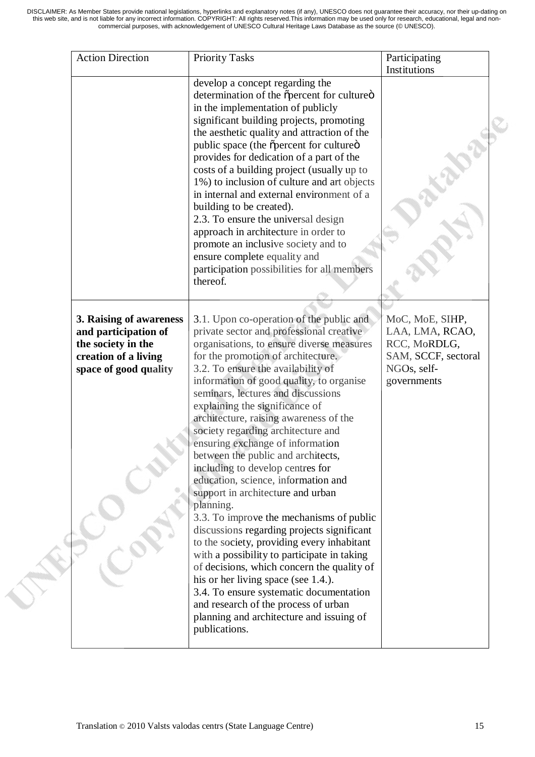| <b>Action Direction</b>                                                                                                | <b>Priority Tasks</b>                                                                                                                                                                                                                                                                                                                                                                                                                                                                                                                                                                                                                                                                                                                                                                                                                                    | Participating<br>Institutions                                                        |
|------------------------------------------------------------------------------------------------------------------------|----------------------------------------------------------------------------------------------------------------------------------------------------------------------------------------------------------------------------------------------------------------------------------------------------------------------------------------------------------------------------------------------------------------------------------------------------------------------------------------------------------------------------------------------------------------------------------------------------------------------------------------------------------------------------------------------------------------------------------------------------------------------------------------------------------------------------------------------------------|--------------------------------------------------------------------------------------|
|                                                                                                                        | develop a concept regarding the<br>determination of the õpercent for cultureö<br>in the implementation of publicly<br>significant building projects, promoting<br>the aesthetic quality and attraction of the<br>public space (the õpercent for cultureö<br>provides for dedication of a part of the<br>costs of a building project (usually up to<br>1%) to inclusion of culture and art objects<br>in internal and external environment of a<br>building to be created).<br>2.3. To ensure the universal design<br>approach in architecture in order to<br>promote an inclusive society and to<br>ensure complete equality and<br>participation possibilities for all members<br>thereof.                                                                                                                                                              |                                                                                      |
|                                                                                                                        | 3.1. Upon co-operation of the public and                                                                                                                                                                                                                                                                                                                                                                                                                                                                                                                                                                                                                                                                                                                                                                                                                 | MoC, MoE, SIHP,                                                                      |
| 3. Raising of awareness<br>and participation of<br>the society in the<br>creation of a living<br>space of good quality | private sector and professional creative<br>organisations, to ensure diverse measures<br>for the promotion of architecture.<br>3.2. To ensure the availability of<br>information of good quality, to organise<br>seminars, lectures and discussions<br>explaining the significance of<br>architecture, raising awareness of the<br>society regarding architecture and<br>ensuring exchange of information<br>between the public and architects,<br>including to develop centres for<br>education, science, information and<br>support in architecture and urban<br>planning.<br>3.3. To improve the mechanisms of public<br>discussions regarding projects significant<br>to the society, providing every inhabitant<br>with a possibility to participate in taking<br>of decisions, which concern the quality of<br>his or her living space (see 1.4.). | LAA, LMA, RCAO,<br>RCC, MoRDLG,<br>SAM, SCCF, sectoral<br>NGOs, self-<br>governments |

**CAN**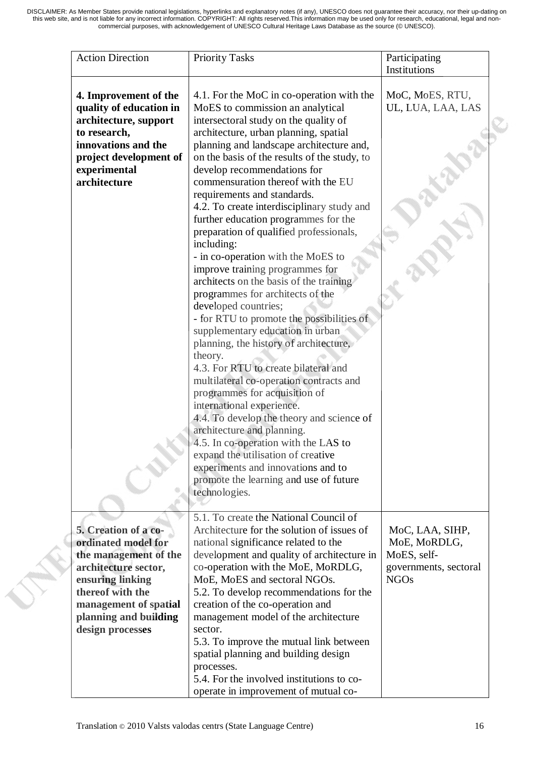| <b>Action Direction</b>                                                                                                                                                                | <b>Priority Tasks</b>                                                                                                                                                                                                                                                                                                                                                                                                                                                                                                                                                                                                                                                                                                                                                                                                                                                                                                                                                                                                                                                                                                                                                                                                                           | Participating<br>Institutions                                                          |
|----------------------------------------------------------------------------------------------------------------------------------------------------------------------------------------|-------------------------------------------------------------------------------------------------------------------------------------------------------------------------------------------------------------------------------------------------------------------------------------------------------------------------------------------------------------------------------------------------------------------------------------------------------------------------------------------------------------------------------------------------------------------------------------------------------------------------------------------------------------------------------------------------------------------------------------------------------------------------------------------------------------------------------------------------------------------------------------------------------------------------------------------------------------------------------------------------------------------------------------------------------------------------------------------------------------------------------------------------------------------------------------------------------------------------------------------------|----------------------------------------------------------------------------------------|
| 4. Improvement of the<br>quality of education in<br>architecture, support<br>to research,<br>innovations and the<br>project development of<br>experimental<br>architecture             | 4.1. For the MoC in co-operation with the<br>MoES to commission an analytical<br>intersectoral study on the quality of<br>architecture, urban planning, spatial<br>planning and landscape architecture and,<br>on the basis of the results of the study, to<br>develop recommendations for<br>commensuration thereof with the EU<br>requirements and standards.<br>4.2. To create interdisciplinary study and<br>further education programmes for the<br>preparation of qualified professionals,<br>including:<br>- in co-operation with the MoES to<br>improve training programmes for<br>architects on the basis of the training<br>programmes for architects of the<br>developed countries;<br>- for RTU to promote the possibilities of<br>supplementary education in urban<br>planning, the history of architecture,<br>theory.<br>4.3. For RTU to create bilateral and<br>multilateral co-operation contracts and<br>programmes for acquisition of<br>international experience.<br>4.4. To develop the theory and science of<br>architecture and planning.<br>4.5. In co-operation with the LAS to<br>expand the utilisation of creative<br>experiments and innovations and to<br>promote the learning and use of future<br>technologies. | MoC, MoES, RTU,<br>UL, LUA, LAA, LAS                                                   |
| 5. Creation of a co-<br>ordinated model for<br>the management of the<br>architecture sector,<br>ensuring linking<br>thereof with the<br>management of spatial<br>planning and building | 5.1. To create the National Council of<br>Architecture for the solution of issues of<br>national significance related to the<br>development and quality of architecture in<br>co-operation with the MoE, MoRDLG,<br>MoE, MoES and sectoral NGOs.<br>5.2. To develop recommendations for the<br>creation of the co-operation and<br>management model of the architecture                                                                                                                                                                                                                                                                                                                                                                                                                                                                                                                                                                                                                                                                                                                                                                                                                                                                         | MoC, LAA, SIHP,<br>MoE, MoRDLG,<br>MoES, self-<br>governments, sectoral<br><b>NGOs</b> |
| design processes                                                                                                                                                                       | sector.<br>5.3. To improve the mutual link between<br>spatial planning and building design<br>processes.<br>5.4. For the involved institutions to co-<br>operate in improvement of mutual co-                                                                                                                                                                                                                                                                                                                                                                                                                                                                                                                                                                                                                                                                                                                                                                                                                                                                                                                                                                                                                                                   |                                                                                        |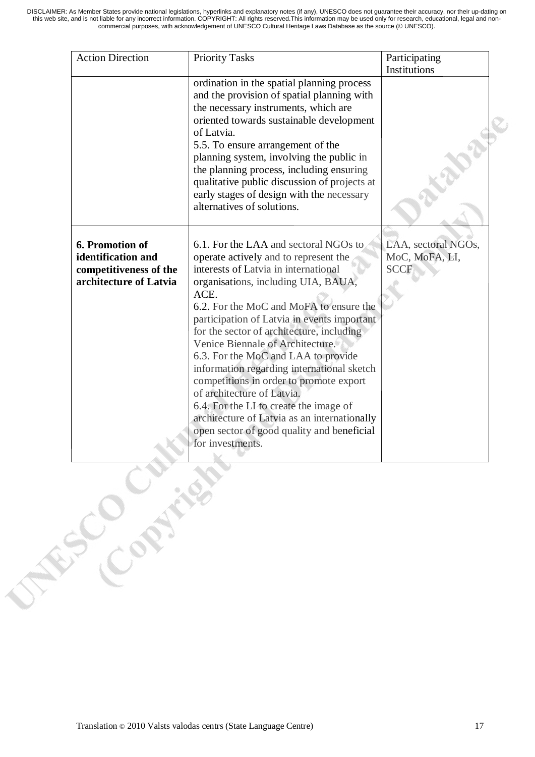| <b>Action Direction</b>                                                                                  | <b>Priority Tasks</b>                                                                                                                                                                                                                                                                                                                                                                                                                                                                                                                                                                                                                                                      | Participating<br>Institutions                        |
|----------------------------------------------------------------------------------------------------------|----------------------------------------------------------------------------------------------------------------------------------------------------------------------------------------------------------------------------------------------------------------------------------------------------------------------------------------------------------------------------------------------------------------------------------------------------------------------------------------------------------------------------------------------------------------------------------------------------------------------------------------------------------------------------|------------------------------------------------------|
|                                                                                                          | ordination in the spatial planning process<br>and the provision of spatial planning with<br>the necessary instruments, which are<br>oriented towards sustainable development<br>of Latvia.<br>5.5. To ensure arrangement of the<br>planning system, involving the public in<br>the planning process, including ensuring<br>qualitative public discussion of projects at<br>early stages of design with the necessary<br>alternatives of solutions.                                                                                                                                                                                                                         |                                                      |
| 6. Promotion of<br>identification and<br>competitiveness of the<br>architecture of Latvia<br>ESCONSIGNER | 6.1. For the LAA and sectoral NGOs to<br>operate actively and to represent the<br>interests of Latvia in international<br>organisations, including UIA, BAUA,<br>ACE.<br>6.2. For the MoC and MoFA to ensure the<br>participation of Latvia in events important<br>for the sector of architecture, including<br>Venice Biennale of Architecture.<br>6.3. For the MoC and LAA to provide<br>information regarding international sketch<br>competitions in order to promote export<br>of architecture of Latvia.<br>6.4. For the LI to create the image of<br>architecture of Latvia as an internationally<br>open sector of good quality and beneficial<br>for investments. | LAA, sectoral NGOs,<br>MoC, MoFA, LI,<br><b>SCCF</b> |